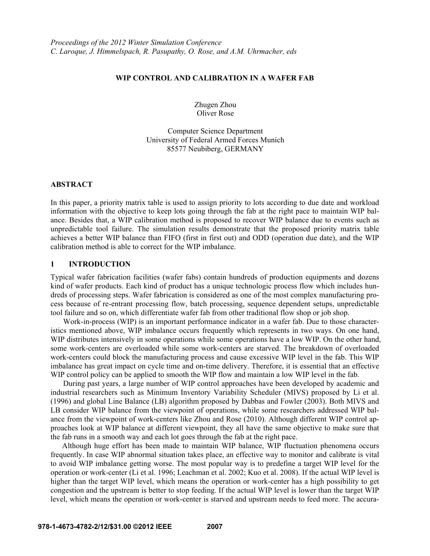### **WIP CONTROL AND CALIBRATION IN A WAFER FAB**

Zhugen Zhou Oliver Rose

Computer Science Department University of Federal Armed Forces Munich 85577 Neubiberg, GERMANY

#### **ABSTRACT**

In this paper, a priority matrix table is used to assign priority to lots according to due date and workload information with the objective to keep lots going through the fab at the right pace to maintain WIP balance. Besides that, a WIP calibration method is proposed to recover WIP balance due to events such as unpredictable tool failure. The simulation results demonstrate that the proposed priority matrix table achieves a better WIP balance than FIFO (first in first out) and ODD (operation due date), and the WIP calibration method is able to correct for the WIP imbalance.

### **1 INTRODUCTION**

Typical wafer fabrication facilities (wafer fabs) contain hundreds of production equipments and dozens kind of wafer products. Each kind of product has a unique technologic process flow which includes hundreds of processing steps. Wafer fabrication is considered as one of the most complex manufacturing process because of re-entrant processing flow, batch processing, sequence dependent setups, unpredictable tool failure and so on, which differentiate wafer fab from other traditional flow shop or job shop.

 Work-in-process (WIP) is an important performance indicator in a wafer fab. Due to those characteristics mentioned above, WIP imbalance occurs frequently which represents in two ways. On one hand, WIP distributes intensively in some operations while some operations have a low WIP. On the other hand, some work-centers are overloaded while some work-centers are starved. The breakdown of overloaded work-centers could block the manufacturing process and cause excessive WIP level in the fab. This WIP imbalance has great impact on cycle time and on-time delivery. Therefore, it is essential that an effective WIP control policy can be applied to smooth the WIP flow and maintain a low WIP level in the fab.

 During past years, a large number of WIP control approaches have been developed by academic and industrial researchers such as Minimum Inventory Variability Scheduler (MIVS) proposed by Li et al. (1996) and global Line Balance (LB) algorithm proposed by Dabbas and Fowler (2003). Both MIVS and LB consider WIP balance from the viewpoint of operations, while some researchers addressed WIP balance from the viewpoint of work-centers like Zhou and Rose (2010). Although different WIP control approaches look at WIP balance at different viewpoint, they all have the same objective to make sure that the fab runs in a smooth way and each lot goes through the fab at the right pace.

 Although huge effort has been made to maintain WIP balance, WIP fluctuation phenomena occurs frequently. In case WIP abnormal situation takes place, an effective way to monitor and calibrate is vital to avoid WIP imbalance getting worse. The most popular way is to predefine a target WIP level for the operation or work-center (Li et al. 1996; Leachman et al. 2002; Kuo et al. 2008). If the actual WIP level is higher than the target WIP level, which means the operation or work-center has a high possibility to get congestion and the upstream is better to stop feeding. If the actual WIP level is lower than the target WIP level, which means the operation or work-center is starved and upstream needs to feed more. The accura-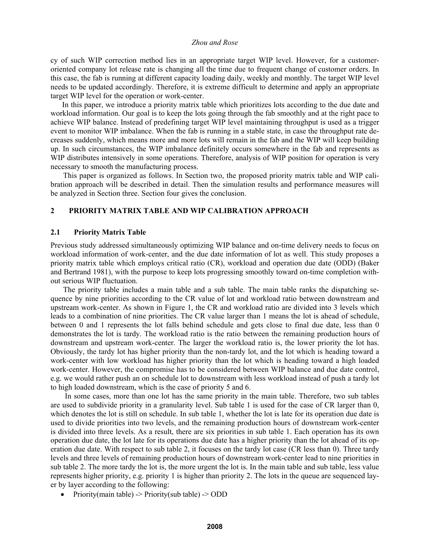cy of such WIP correction method lies in an appropriate target WIP level. However, for a customeroriented company lot release rate is changing all the time due to frequent change of customer orders. In this case, the fab is running at different capacity loading daily, weekly and monthly. The target WIP level needs to be updated accordingly. Therefore, it is extreme difficult to determine and apply an appropriate target WIP level for the operation or work-center.

 In this paper, we introduce a priority matrix table which prioritizes lots according to the due date and workload information. Our goal is to keep the lots going through the fab smoothly and at the right pace to achieve WIP balance. Instead of predefining target WIP level maintaining throughput is used as a trigger event to monitor WIP imbalance. When the fab is running in a stable state, in case the throughput rate decreases suddenly, which means more and more lots will remain in the fab and the WIP will keep building up. In such circumstances, the WIP imbalance definitely occurs somewhere in the fab and represents as WIP distributes intensively in some operations. Therefore, analysis of WIP position for operation is very necessary to smooth the manufacturing process.

 This paper is organized as follows. In Section two, the proposed priority matrix table and WIP calibration approach will be described in detail. Then the simulation results and performance measures will be analyzed in Section three. Section four gives the conclusion.

### **2 PRIORITY MATRIX TABLE AND WIP CALIBRATION APPROACH**

### **2.1 Priority Matrix Table**

Previous study addressed simultaneously optimizing WIP balance and on-time delivery needs to focus on workload information of work-center, and the due date information of lot as well. This study proposes a priority matrix table which employs critical ratio (CR), workload and operation due date (ODD) (Baker and Bertrand 1981), with the purpose to keep lots progressing smoothly toward on-time completion without serious WIP fluctuation.

 The priority table includes a main table and a sub table. The main table ranks the dispatching sequence by nine priorities according to the CR value of lot and workload ratio between downstream and upstream work-center. As shown in Figure 1, the CR and workload ratio are divided into 3 levels which leads to a combination of nine priorities. The CR value larger than 1 means the lot is ahead of schedule, between 0 and 1 represents the lot falls behind schedule and gets close to final due date, less than 0 demonstrates the lot is tardy. The workload ratio is the ratio between the remaining production hours of downstream and upstream work-center. The larger the workload ratio is, the lower priority the lot has. Obviously, the tardy lot has higher priority than the non-tardy lot, and the lot which is heading toward a work-center with low workload has higher priority than the lot which is heading toward a high loaded work-center. However, the compromise has to be considered between WIP balance and due date control, e.g. we would rather push an on schedule lot to downstream with less workload instead of push a tardy lot to high loaded downstream, which is the case of priority 5 and 6.

 In some cases, more than one lot has the same priority in the main table. Therefore, two sub tables are used to subdivide priority in a granularity level. Sub table 1 is used for the case of CR larger than 0, which denotes the lot is still on schedule. In sub table 1, whether the lot is late for its operation due date is used to divide priorities into two levels, and the remaining production hours of downstream work-center is divided into three levels. As a result, there are six priorities in sub table 1. Each operation has its own operation due date, the lot late for its operations due date has a higher priority than the lot ahead of its operation due date. With respect to sub table 2, it focuses on the tardy lot case (CR less than 0). Three tardy levels and three levels of remaining production hours of downstream work-center lead to nine priorities in sub table 2. The more tardy the lot is, the more urgent the lot is. In the main table and sub table, less value represents higher priority, e.g. priority 1 is higher than priority 2. The lots in the queue are sequenced layer by layer according to the following:

• Priority(main table) -> Priority(sub table) -> ODD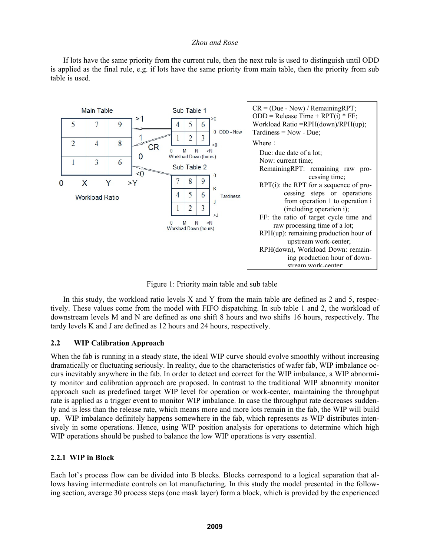If lots have the same priority from the current rule, then the next rule is used to distinguish until ODD is applied as the final rule, e.g. if lots have the same priority from main table, then the priority from sub table is used.



Figure 1: Priority main table and sub table

In this study, the workload ratio levels  $X$  and  $Y$  from the main table are defined as 2 and 5, respectively. These values come from the model with FIFO dispatching. In sub table 1 and 2, the workload of downstream levels M and N are defined as one shift 8 hours and two shifts 16 hours, respectively. The tardy levels K and J are defined as 12 hours and 24 hours, respectively.

## **2.2 WIP Calibration Approach**

When the fab is running in a steady state, the ideal WIP curve should evolve smoothly without increasing dramatically or fluctuating seriously. In reality, due to the characteristics of wafer fab, WIP imbalance occurs inevitably anywhere in the fab. In order to detect and correct for the WIP imbalance, a WIP abnormity monitor and calibration approach are proposed. In contrast to the traditional WIP abnormity monitor approach such as predefined target WIP level for operation or work-center, maintaining the throughput rate is applied as a trigger event to monitor WIP imbalance. In case the throughput rate decreases suddenly and is less than the release rate, which means more and more lots remain in the fab, the WIP will build up. WIP imbalance definitely happens somewhere in the fab, which represents as WIP distributes intensively in some operations. Hence, using WIP position analysis for operations to determine which high WIP operations should be pushed to balance the low WIP operations is very essential.

# **2.2.1 WIP in Block**

Each lot's process flow can be divided into B blocks. Blocks correspond to a logical separation that allows having intermediate controls on lot manufacturing. In this study the model presented in the following section, average 30 process steps (one mask layer) form a block, which is provided by the experienced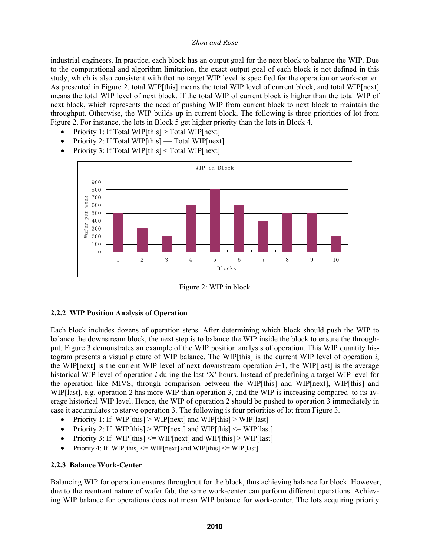industrial engineers. In practice, each block has an output goal for the next block to balance the WIP. Due to the computational and algorithm limitation, the exact output goal of each block is not defined in this study, which is also consistent with that no target WIP level is specified for the operation or work-center. As presented in Figure 2, total WIP[this] means the total WIP level of current block, and total WIP[next] means the total WIP level of next block. If the total WIP of current block is higher than the total WIP of next block, which represents the need of pushing WIP from current block to next block to maintain the throughput. Otherwise, the WIP builds up in current block. The following is three priorities of lot from Figure 2. For instance, the lots in Block 5 get higher priority than the lots in Block 4.

- Priority 1: If Total WIP[this]  $>$  Total WIP[next]
- Priority 2: If Total WIP[this]  $=$  Total WIP[next]
- Priority 3: If Total WIP[this]  $\le$  Total WIP[next]



Figure 2: WIP in block

## **2.2.2 WIP Position Analysis of Operation**

Each block includes dozens of operation steps. After determining which block should push the WIP to balance the downstream block, the next step is to balance the WIP inside the block to ensure the throughput. Figure 3 demonstrates an example of the WIP position analysis of operation. This WIP quantity histogram presents a visual picture of WIP balance. The WIP[this] is the current WIP level of operation *i*, the WIP[next] is the current WIP level of next downstream operation *i*+1, the WIP[last] is the average historical WIP level of operation *i* during the last 'X' hours. Instead of predefining a target WIP level for the operation like MIVS, through comparison between the WIP[this] and WIP[next], WIP[this] and WIP[last], e.g. operation 2 has more WIP than operation 3, and the WIP is increasing compared to its average historical WIP level. Hence, the WIP of operation 2 should be pushed to operation 3 immediately in case it accumulates to starve operation 3. The following is four priorities of lot from Figure 3.

- Priority 1: If WIP[this] > WIP[next] and WIP[this] > WIP[last]
- Priority 2: If WIP[this] > WIP[next] and WIP[this]  $\leq$  WIP[last]
- Priority 3: If WIP[this]  $\leq$  WIP[next] and WIP[this]  $>$  WIP[last]
- Priority 4: If WIP[this]  $\leq$  WIP[next] and WIP[this]  $\leq$  WIP[last]

### **2.2.3 Balance Work-Center**

Balancing WIP for operation ensures throughput for the block, thus achieving balance for block. However, due to the reentrant nature of wafer fab, the same work-center can perform different operations. Achieving WIP balance for operations does not mean WIP balance for work-center. The lots acquiring priority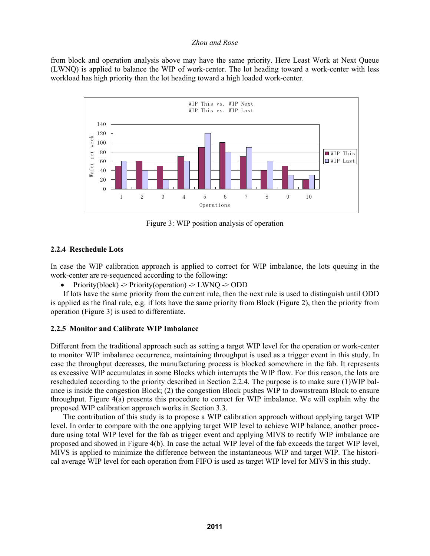from block and operation analysis above may have the same priority. Here Least Work at Next Queue (LWNQ) is applied to balance the WIP of work-center. The lot heading toward a work-center with less workload has high priority than the lot heading toward a high loaded work-center.



Figure 3: WIP position analysis of operation

### **2.2.4 Reschedule Lots**

In case the WIP calibration approach is applied to correct for WIP imbalance, the lots queuing in the work-center are re-sequenced according to the following:

• Priority(block) -> Priority(operation) -> LWNQ -> ODD

 If lots have the same priority from the current rule, then the next rule is used to distinguish until ODD is applied as the final rule, e.g. if lots have the same priority from Block (Figure 2), then the priority from operation (Figure 3) is used to differentiate.

### **2.2.5 Monitor and Calibrate WIP Imbalance**

Different from the traditional approach such as setting a target WIP level for the operation or work-center to monitor WIP imbalance occurrence, maintaining throughput is used as a trigger event in this study. In case the throughput decreases, the manufacturing process is blocked somewhere in the fab. It represents as excessive WIP accumulates in some Blocks which interrupts the WIP flow. For this reason, the lots are rescheduled according to the priority described in Section 2.2.4. The purpose is to make sure (1)WIP balance is inside the congestion Block; (2) the congestion Block pushes WIP to downstream Block to ensure throughput. Figure 4(a) presents this procedure to correct for WIP imbalance. We will explain why the proposed WIP calibration approach works in Section 3.3.

 The contribution of this study is to propose a WIP calibration approach without applying target WIP level. In order to compare with the one applying target WIP level to achieve WIP balance, another procedure using total WIP level for the fab as trigger event and applying MIVS to rectify WIP imbalance are proposed and showed in Figure 4(b). In case the actual WIP level of the fab exceeds the target WIP level, MIVS is applied to minimize the difference between the instantaneous WIP and target WIP. The historical average WIP level for each operation from FIFO is used as target WIP level for MIVS in this study.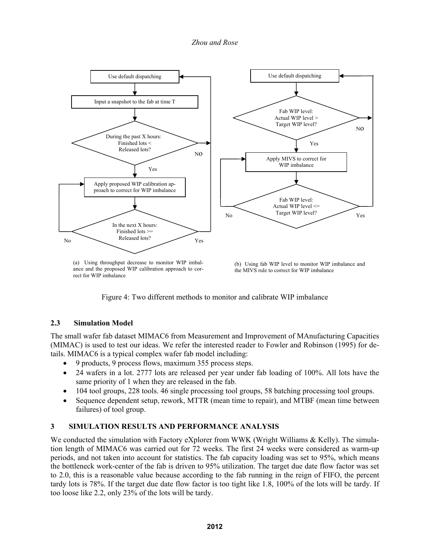

Figure 4: Two different methods to monitor and calibrate WIP imbalance

# **2.3 Simulation Model**

The small wafer fab dataset MIMAC6 from Measurement and Improvement of MAnufacturing Capacities (MIMAC) is used to test our ideas. We refer the interested reader to Fowler and Robinson (1995) for details. MIMAC6 is a typical complex wafer fab model including:

- 9 products, 9 process flows, maximum 355 process steps.
- 24 wafers in a lot. 2777 lots are released per year under fab loading of 100%. All lots have the same priority of 1 when they are released in the fab.
- 104 tool groups, 228 tools. 46 single processing tool groups, 58 batching processing tool groups.
- Sequence dependent setup, rework, MTTR (mean time to repair), and MTBF (mean time between failures) of tool group.

# **3 SIMULATION RESULTS AND PERFORMANCE ANALYSIS**

We conducted the simulation with Factory eXplorer from WWK (Wright Williams & Kelly). The simulation length of MIMAC6 was carried out for 72 weeks. The first 24 weeks were considered as warm-up periods, and not taken into account for statistics. The fab capacity loading was set to 95%, which means the bottleneck work-center of the fab is driven to 95% utilization. The target due date flow factor was set to 2.0, this is a reasonable value because according to the fab running in the reign of FIFO, the percent tardy lots is 78%. If the target due date flow factor is too tight like 1.8, 100% of the lots will be tardy. If too loose like 2.2, only 23% of the lots will be tardy.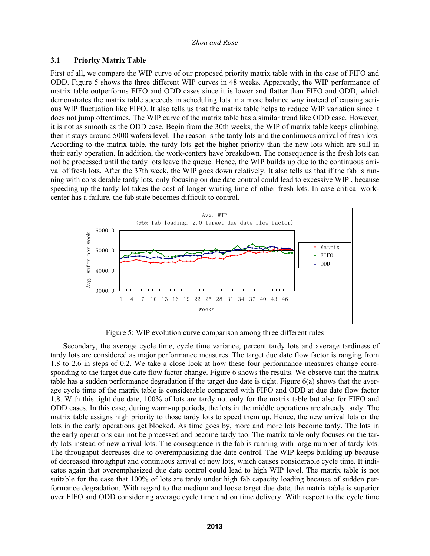## **3.1 Priority Matrix Table**

First of all, we compare the WIP curve of our proposed priority matrix table with in the case of FIFO and ODD. Figure 5 shows the three different WIP curves in 48 weeks. Apparently, the WIP performance of matrix table outperforms FIFO and ODD cases since it is lower and flatter than FIFO and ODD, which demonstrates the matrix table succeeds in scheduling lots in a more balance way instead of causing serious WIP fluctuation like FIFO. It also tells us that the matrix table helps to reduce WIP variation since it does not jump oftentimes. The WIP curve of the matrix table has a similar trend like ODD case. However, it is not as smooth as the ODD case. Begin from the 30th weeks, the WIP of matrix table keeps climbing, then it stays around 5000 wafers level. The reason is the tardy lots and the continuous arrival of fresh lots. According to the matrix table, the tardy lots get the higher priority than the new lots which are still in their early operation. In addition, the work-centers have breakdown. The consequence is the fresh lots can not be processed until the tardy lots leave the queue. Hence, the WIP builds up due to the continuous arrival of fresh lots. After the 37th week, the WIP goes down relatively. It also tells us that if the fab is running with considerable tardy lots, only focusing on due date control could lead to excessive WIP , because speeding up the tardy lot takes the cost of longer waiting time of other fresh lots. In case critical workcenter has a failure, the fab state becomes difficult to control.



Figure 5: WIP evolution curve comparison among three different rules

 Secondary, the average cycle time, cycle time variance, percent tardy lots and average tardiness of tardy lots are considered as major performance measures. The target due date flow factor is ranging from 1.8 to 2.6 in steps of 0.2. We take a close look at how these four performance measures change corresponding to the target due date flow factor change. Figure 6 shows the results. We observe that the matrix table has a sudden performance degradation if the target due date is tight. Figure 6(a) shows that the average cycle time of the matrix table is considerable compared with FIFO and ODD at due date flow factor 1.8. With this tight due date, 100% of lots are tardy not only for the matrix table but also for FIFO and ODD cases. In this case, during warm-up periods, the lots in the middle operations are already tardy. The matrix table assigns high priority to those tardy lots to speed them up. Hence, the new arrival lots or the lots in the early operations get blocked. As time goes by, more and more lots become tardy. The lots in the early operations can not be processed and become tardy too. The matrix table only focuses on the tardy lots instead of new arrival lots. The consequence is the fab is running with large number of tardy lots. The throughput decreases due to overemphasizing due date control. The WIP keeps building up because of decreased throughput and continuous arrival of new lots, which causes considerable cycle time. It indicates again that overemphasized due date control could lead to high WIP level. The matrix table is not suitable for the case that 100% of lots are tardy under high fab capacity loading because of sudden performance degradation. With regard to the medium and loose target due date, the matrix table is superior over FIFO and ODD considering average cycle time and on time delivery. With respect to the cycle time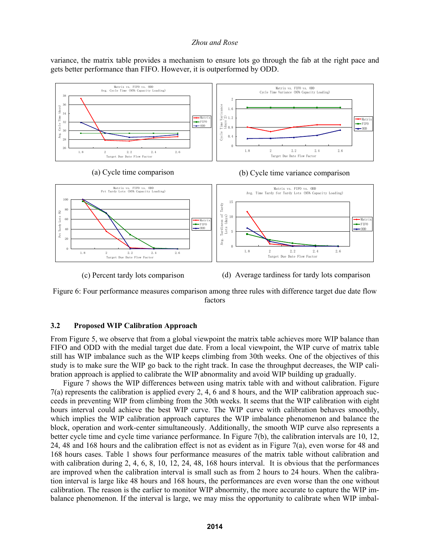variance, the matrix table provides a mechanism to ensure lots go through the fab at the right pace and gets better performance than FIFO. However, it is outperformed by ODD.



(c) Percent tardy lots comparison (d) Average tardiness for tardy lots comparison

Figure 6: Four performance measures comparison among three rules with difference target due date flow factors

## **3.2 Proposed WIP Calibration Approach**

From Figure 5, we observe that from a global viewpoint the matrix table achieves more WIP balance than FIFO and ODD with the medial target due date. From a local viewpoint, the WIP curve of matrix table still has WIP imbalance such as the WIP keeps climbing from 30th weeks. One of the objectives of this study is to make sure the WIP go back to the right track. In case the throughput decreases, the WIP calibration approach is applied to calibrate the WIP abnormality and avoid WIP building up gradually.

 Figure 7 shows the WIP differences between using matrix table with and without calibration. Figure 7(a) represents the calibration is applied every 2, 4, 6 and 8 hours, and the WIP calibration approach succeeds in preventing WIP from climbing from the 30th weeks. It seems that the WIP calibration with eight hours interval could achieve the best WIP curve. The WIP curve with calibration behaves smoothly, which implies the WIP calibration approach captures the WIP imbalance phenomenon and balance the block, operation and work-center simultaneously. Additionally, the smooth WIP curve also represents a better cycle time and cycle time variance performance. In Figure 7(b), the calibration intervals are 10, 12, 24, 48 and 168 hours and the calibration effect is not as evident as in Figure 7(a), even worse for 48 and 168 hours cases. Table 1 shows four performance measures of the matrix table without calibration and with calibration during 2, 4, 6, 8, 10, 12, 24, 48, 168 hours interval. It is obvious that the performances are improved when the calibration interval is small such as from 2 hours to 24 hours. When the calibration interval is large like 48 hours and 168 hours, the performances are even worse than the one without calibration. The reason is the earlier to monitor WIP abnormity, the more accurate to capture the WIP imbalance phenomenon. If the interval is large, we may miss the opportunity to calibrate when WIP imbal-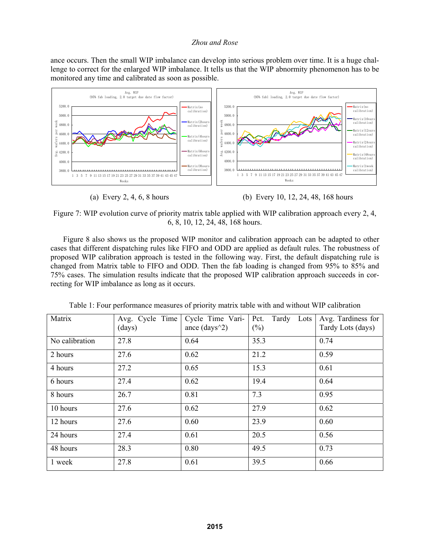ance occurs. Then the small WIP imbalance can develop into serious problem over time. It is a huge challenge to correct for the enlarged WIP imbalance. It tells us that the WIP abnormity phenomenon has to be monitored any time and calibrated as soon as possible.



Figure 7: WIP evolution curve of priority matrix table applied with WIP calibration approach every 2, 4,

6, 8, 10, 12, 24, 48, 168 hours.

 Figure 8 also shows us the proposed WIP monitor and calibration approach can be adapted to other cases that different dispatching rules like FIFO and ODD are applied as default rules. The robustness of proposed WIP calibration approach is tested in the following way. First, the default dispatching rule is changed from Matrix table to FIFO and ODD. Then the fab loading is changed from 95% to 85% and 75% cases. The simulation results indicate that the proposed WIP calibration approach succeeds in correcting for WIP imbalance as long as it occurs.

| Matrix         | Avg. Cycle Time<br>(days) | Cycle Time Vari-<br>ance $\frac{\text{days}}{2}$ | Pct.<br>Tardy Lots<br>(%) | Avg. Tardiness for<br>Tardy Lots (days) |  |
|----------------|---------------------------|--------------------------------------------------|---------------------------|-----------------------------------------|--|
| No calibration | 27.8                      | 0.64                                             | 35.3                      | 0.74                                    |  |
| 2 hours        | 27.6                      | 0.62                                             | 21.2                      | 0.59                                    |  |
| 4 hours        | 27.2                      | 0.65                                             | 15.3                      | 0.61                                    |  |
| 6 hours        | 27.4                      | 0.62                                             | 19.4                      | 0.64                                    |  |
| 8 hours        | 26.7                      | 0.81                                             | 7.3                       | 0.95                                    |  |
| 10 hours       | 27.6                      | 0.62                                             | 27.9                      | 0.62                                    |  |
| 12 hours       | 27.6                      | 0.60                                             | 23.9                      | 0.60                                    |  |
| 24 hours       | 27.4                      | 0.61                                             | 20.5                      | 0.56                                    |  |
| 48 hours       | 28.3                      | 0.80                                             | 49.5                      | 0.73                                    |  |
| 1 week         | 27.8                      | 0.61                                             | 39.5                      | 0.66                                    |  |

Table 1: Four performance measures of priority matrix table with and without WIP calibration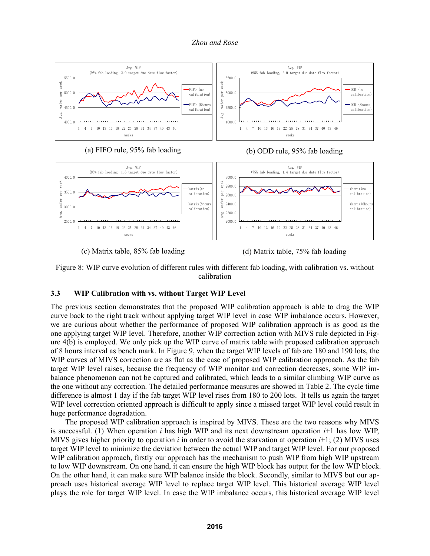

(c) Matrix table, 85% fab loading (d) Matrix table, 75% fab loading

Figure 8: WIP curve evolution of different rules with different fab loading, with calibration vs. without calibration

## **3.3 WIP Calibration with vs. without Target WIP Level**

The previous section demonstrates that the proposed WIP calibration approach is able to drag the WIP curve back to the right track without applying target WIP level in case WIP imbalance occurs. However, we are curious about whether the performance of proposed WIP calibration approach is as good as the one applying target WIP level. Therefore, another WIP correction action with MIVS rule depicted in Figure 4(b) is employed. We only pick up the WIP curve of matrix table with proposed calibration approach of 8 hours interval as bench mark. In Figure 9, when the target WIP levels of fab are 180 and 190 lots, the WIP curves of MIVS correction are as flat as the case of proposed WIP calibration approach. As the fab target WIP level raises, because the frequency of WIP monitor and correction decreases, some WIP imbalance phenomenon can not be captured and calibrated, which leads to a similar climbing WIP curve as the one without any correction. The detailed performance measures are showed in Table 2. The cycle time difference is almost 1 day if the fab target WIP level rises from 180 to 200 lots. It tells us again the target WIP level correction oriented approach is difficult to apply since a missed target WIP level could result in huge performance degradation.

The proposed WIP calibration approach is inspired by MIVS. These are the two reasons why MIVS is successful. (1) When operation *i* has high WIP and its next downstream operation  $i+1$  has low WIP, MIVS gives higher priority to operation *i* in order to avoid the starvation at operation *i*+1; (2) MIVS uses target WIP level to minimize the deviation between the actual WIP and target WIP level. For our proposed WIP calibration approach, firstly our approach has the mechanism to push WIP from high WIP upstream to low WIP downstream. On one hand, it can ensure the high WIP block has output for the low WIP block. On the other hand, it can make sure WIP balance inside the block. Secondly, similar to MIVS but our approach uses historical average WIP level to replace target WIP level. This historical average WIP level plays the role for target WIP level. In case the WIP imbalance occurs, this historical average WIP level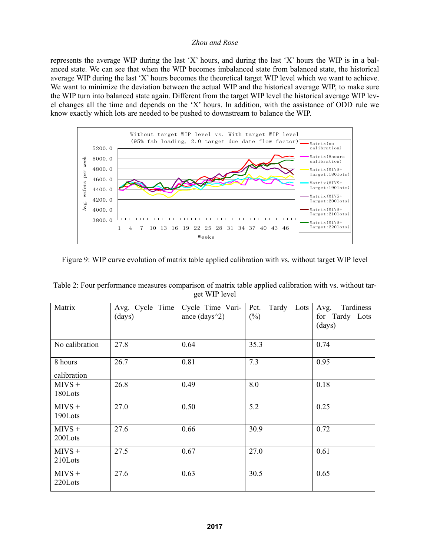represents the average WIP during the last 'X' hours, and during the last 'X' hours the WIP is in a balanced state. We can see that when the WIP becomes imbalanced state from balanced state, the historical average WIP during the last 'X' hours becomes the theoretical target WIP level which we want to achieve. We want to minimize the deviation between the actual WIP and the historical average WIP, to make sure the WIP turn into balanced state again. Different from the target WIP level the historical average WIP level changes all the time and depends on the 'X' hours. In addition, with the assistance of ODD rule we know exactly which lots are needed to be pushed to downstream to balance the WIP.



| Figure 9: WIP curve evolution of matrix table applied calibration with vs. without target WIP level |  |  |  |
|-----------------------------------------------------------------------------------------------------|--|--|--|
|                                                                                                     |  |  |  |

| Matrix                 | Avg. Cycle Time<br>(days) | Cycle Time Vari-<br>ance $\frac{days^2}{2}$ | Tardy Lots<br>Pct.<br>(%) | Tardiness<br>Avg.<br>for Tardy Lots<br>(days) |
|------------------------|---------------------------|---------------------------------------------|---------------------------|-----------------------------------------------|
| No calibration         | 27.8                      | 0.64                                        | 35.3                      | 0.74                                          |
| 8 hours<br>calibration | 26.7                      | 0.81                                        | 7.3                       | 0.95                                          |
| $MIVS +$<br>180Lots    | 26.8                      | 0.49                                        | 8.0                       | 0.18                                          |
| $MIVS +$<br>190Lots    | 27.0                      | 0.50                                        | 5.2                       | 0.25                                          |
| $MIVS +$<br>200Lots    | 27.6                      | 0.66                                        | 30.9                      | 0.72                                          |
| $MIVS +$<br>210Lots    | 27.5                      | 0.67                                        | 27.0                      | 0.61                                          |
| $MIVS +$<br>220Lots    | 27.6                      | 0.63                                        | 30.5                      | 0.65                                          |

| Table 2: Four performance measures comparison of matrix table applied calibration with vs. without tar- |               |  |  |
|---------------------------------------------------------------------------------------------------------|---------------|--|--|
|                                                                                                         | get WIP level |  |  |